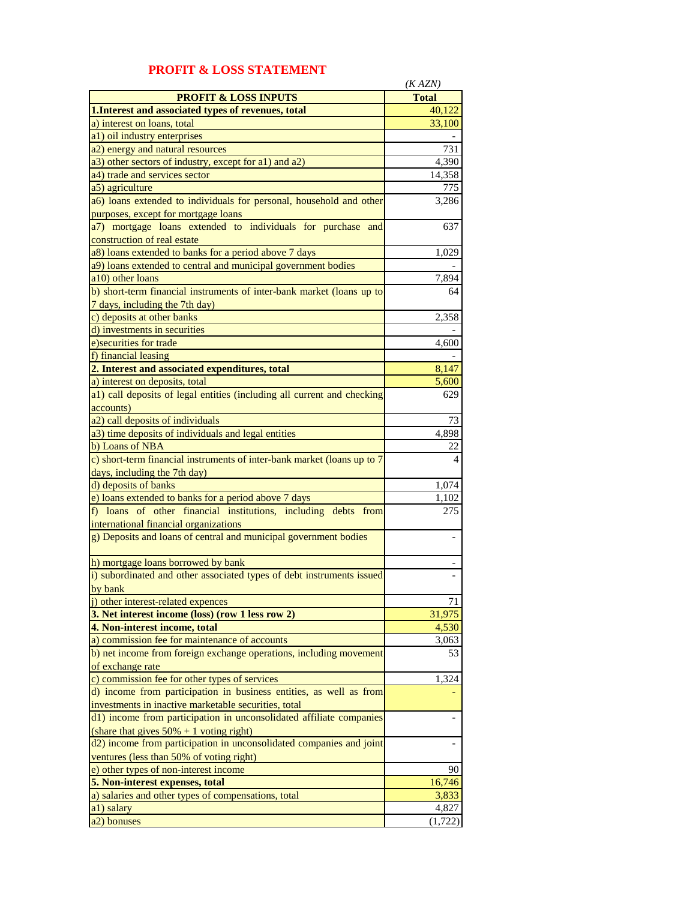|                                                                         | (KAZN)         |
|-------------------------------------------------------------------------|----------------|
| <b>PROFIT &amp; LOSS INPUTS</b>                                         | <b>Total</b>   |
| 1. Interest and associated types of revenues, total                     | 40,122         |
| a) interest on loans, total                                             | 33,100         |
| a1) oil industry enterprises                                            |                |
| a2) energy and natural resources                                        | 731            |
| a3) other sectors of industry, except for a1) and a2)                   | 4,390          |
| a4) trade and services sector                                           | 14,358         |
| a5) agriculture                                                         | 775            |
|                                                                         | 3,286          |
| a6) loans extended to individuals for personal, household and other     |                |
| purposes, except for mortgage loans                                     |                |
| a7) mortgage loans extended to individuals for purchase and             | 637            |
| construction of real estate                                             |                |
| a8) loans extended to banks for a period above 7 days                   | 1,029          |
| a9) loans extended to central and municipal government bodies           |                |
| a10) other loans                                                        | 7,894          |
| b) short-term financial instruments of inter-bank market (loans up to   | 64             |
| 7 days, including the 7th day)                                          |                |
| c) deposits at other banks                                              | 2,358          |
| d) investments in securities                                            |                |
| e) securities for trade                                                 | 4,600          |
| f) financial leasing                                                    |                |
| 2. Interest and associated expenditures, total                          | 8,147          |
| a) interest on deposits, total                                          | 5,600          |
| a1) call deposits of legal entities (including all current and checking | 629            |
| accounts)                                                               |                |
| a2) call deposits of individuals                                        | 73             |
| a3) time deposits of individuals and legal entities                     | 4,898          |
| b) Loans of NBA                                                         | 22             |
| c) short-term financial instruments of inter-bank market (loans up to 7 | $\overline{4}$ |
| days, including the 7th day)                                            |                |
| d) deposits of banks                                                    | 1,074          |
| e) loans extended to banks for a period above 7 days                    | 1,102          |
| f) loans of other financial institutions, including debts from          | 275            |
| international financial organizations                                   |                |
| g) Deposits and loans of central and municipal government bodies        |                |
|                                                                         |                |
| h) mortgage loans borrowed by bank                                      |                |
| i) subordinated and other associated types of debt instruments issued   |                |
| hy hank                                                                 |                |
| j) other interest-related expences                                      | 71             |
| 3. Net interest income (loss) (row 1 less row 2)                        | 31,975         |
| 4. Non-interest income, total                                           | 4,530          |
| a) commission fee for maintenance of accounts                           | 3,063          |
| b) net income from foreign exchange operations, including movement      | 53             |
| of exchange rate                                                        |                |
| c) commission fee for other types of services                           | 1,324          |
| d) income from participation in business entities, as well as from      |                |
| investments in inactive marketable securities, total                    |                |
|                                                                         |                |
| d1) income from participation in unconsolidated affiliate companies     |                |
| (share that gives $50\% + 1$ voting right)                              |                |
| d2) income from participation in unconsolidated companies and joint     |                |
| ventures (less than 50% of voting right)                                |                |
| e) other types of non-interest income                                   | 90             |
| 5. Non-interest expenses, total                                         | 16,746         |
| a) salaries and other types of compensations, total                     | 3,833          |
| a1) salary                                                              | 4,827          |
| a2) bonuses                                                             | (1, 722)       |

## **PROFIT & LOSS STATEMENT**